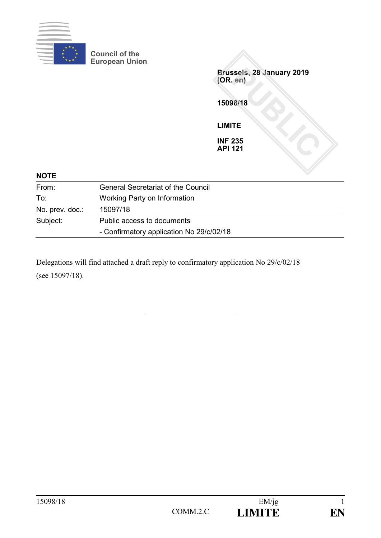

**Council of the European Union**

**Brussels, 28 January 2019 (OR. en) 15098/18 LIMITE INF 235 API 121**

| <b>NOTE</b>     |                                           |  |
|-----------------|-------------------------------------------|--|
| From:           | <b>General Secretariat of the Council</b> |  |
| To:             | Working Party on Information              |  |
| No. prev. doc.: | 15097/18                                  |  |
| Subject:        | Public access to documents                |  |
|                 | - Confirmatory application No 29/c/02/18  |  |

Delegations will find attached a draft reply to confirmatory application No 29/c/02/18 (see 15097/18).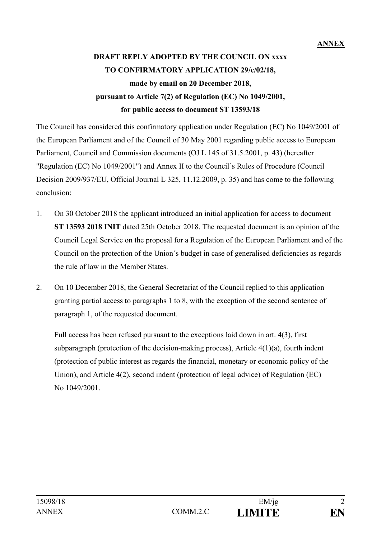# **DRAFT REPLY ADOPTED BY THE COUNCIL ON xxxx TO CONFIRMATORY APPLICATION 29/c/02/18, made by email on 20 December 2018, pursuant to Article 7(2) of Regulation (EC) No 1049/2001, for public access to document ST 13593/18**

The Council has considered this confirmatory application under Regulation (EC) No 1049/2001 of the European Parliament and of the Council of 30 May 2001 regarding public access to European Parliament, Council and Commission documents (OJ L 145 of 31.5.2001, p. 43) (hereafter "Regulation (EC) No 1049/2001") and Annex II to the Council's Rules of Procedure (Council Decision 2009/937/EU, Official Journal L 325, 11.12.2009, p. 35) and has come to the following conclusion:

- 1. On 30 October 2018 the applicant introduced an initial application for access to document **ST 13593 2018 INIT** dated 25th October 2018. The requested document is an opinion of the Council Legal Service on the proposal for a Regulation of the European Parliament and of the Council on the protection of the Union´s budget in case of generalised deficiencies as regards the rule of law in the Member States.
- 2. On 10 December 2018, the General Secretariat of the Council replied to this application granting partial access to paragraphs 1 to 8, with the exception of the second sentence of paragraph 1, of the requested document.

Full access has been refused pursuant to the exceptions laid down in art. 4(3), first subparagraph (protection of the decision-making process), Article  $4(1)(a)$ , fourth indent (protection of public interest as regards the financial, monetary or economic policy of the Union), and Article 4(2), second indent (protection of legal advice) of Regulation (EC) No 1049/2001.

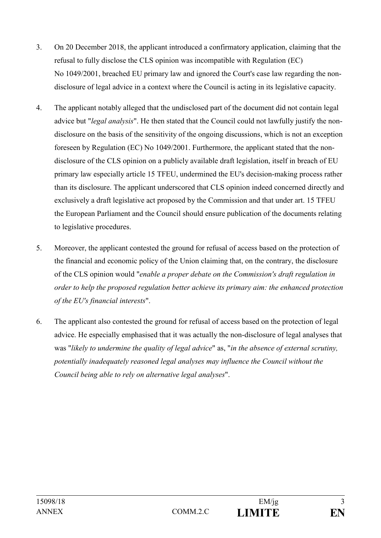- 3. On 20 December 2018, the applicant introduced a confirmatory application, claiming that the refusal to fully disclose the CLS opinion was incompatible with Regulation (EC) No 1049/2001, breached EU primary law and ignored the Court's case law regarding the nondisclosure of legal advice in a context where the Council is acting in its legislative capacity.
- 4. The applicant notably alleged that the undisclosed part of the document did not contain legal advice but "*legal analysis*". He then stated that the Council could not lawfully justify the nondisclosure on the basis of the sensitivity of the ongoing discussions, which is not an exception foreseen by Regulation (EC) No 1049/2001. Furthermore, the applicant stated that the nondisclosure of the CLS opinion on a publicly available draft legislation, itself in breach of EU primary law especially article 15 TFEU, undermined the EU's decision-making process rather than its disclosure. The applicant underscored that CLS opinion indeed concerned directly and exclusively a draft legislative act proposed by the Commission and that under art. 15 TFEU the European Parliament and the Council should ensure publication of the documents relating to legislative procedures.
- 5. Moreover, the applicant contested the ground for refusal of access based on the protection of the financial and economic policy of the Union claiming that, on the contrary, the disclosure of the CLS opinion would "*enable a proper debate on the Commission's draft regulation in order to help the proposed regulation better achieve its primary aim: the enhanced protection of the EU's financial interests*".
- 6. The applicant also contested the ground for refusal of access based on the protection of legal advice. He especially emphasised that it was actually the non-disclosure of legal analyses that was "*likely to undermine the quality of legal advice*" as, "*in the absence of external scrutiny, potentially inadequately reasoned legal analyses may influence the Council without the Council being able to rely on alternative legal analyses*".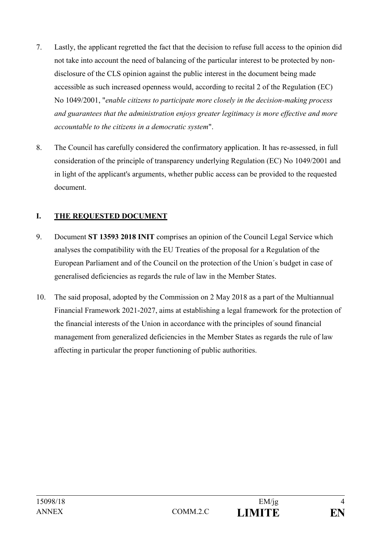- 7. Lastly, the applicant regretted the fact that the decision to refuse full access to the opinion did not take into account the need of balancing of the particular interest to be protected by nondisclosure of the CLS opinion against the public interest in the document being made accessible as such increased openness would, according to recital 2 of the Regulation (EC) No 1049/2001, "*enable citizens to participate more closely in the decision-making process and guarantees that the administration enjoys greater legitimacy is more effective and more accountable to the citizens in a democratic system*".
- 8. The Council has carefully considered the confirmatory application. It has re-assessed, in full consideration of the principle of transparency underlying Regulation (EC) No 1049/2001 and in light of the applicant's arguments, whether public access can be provided to the requested document.

#### **I. THE REQUESTED DOCUMENT**

- 9. Document **ST 13593 2018 INIT** comprises an opinion of the Council Legal Service which analyses the compatibility with the EU Treaties of the proposal for a Regulation of the European Parliament and of the Council on the protection of the Union´s budget in case of generalised deficiencies as regards the rule of law in the Member States.
- 10. The said proposal, adopted by the Commission on 2 May 2018 as a part of the Multiannual Financial Framework 2021-2027, aims at establishing a legal framework for the protection of the financial interests of the Union in accordance with the principles of sound financial management from generalized deficiencies in the Member States as regards the rule of law affecting in particular the proper functioning of public authorities.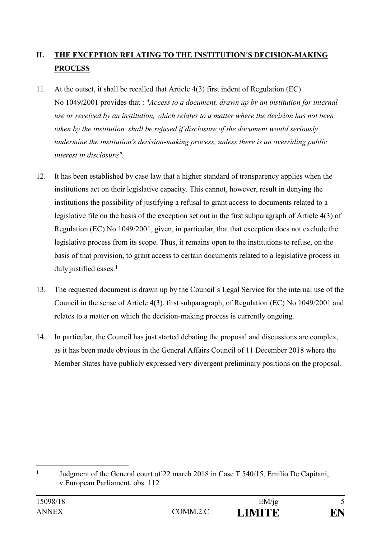## **II. THE EXCEPTION RELATING TO THE INSTITUTION´S DECISION-MAKING PROCESS**

- 11. At the outset, it shall be recalled that Article 4(3) first indent of Regulation (EC) No 1049/2001 provides that : "*Access to a document, drawn up by an institution for internal use or received by an institution, which relates to a matter where the decision has not been taken by the institution, shall be refused if disclosure of the document would seriously undermine the institution's decision-making process, unless there is an overriding public interest in disclosure".*
- 12. It has been established by case law that a higher standard of transparency applies when the institutions act on their legislative capacity. This cannot, however, result in denying the institutions the possibility of justifying a refusal to grant access to documents related to a legislative file on the basis of the exception set out in the first subparagraph of Article 4(3) of Regulation (EC) No 1049/2001, given, in particular, that that exception does not exclude the legislative process from its scope. Thus, it remains open to the institutions to refuse, on the basis of that provision, to grant access to certain documents related to a legislative process in duly justified cases. **1**
- 13. The requested document is drawn up by the Council´s Legal Service for the internal use of the Council in the sense of Article 4(3), first subparagraph, of Regulation (EC) No 1049/2001 and relates to a matter on which the decision-making process is currently ongoing.
- 14. In particular, the Council has just started debating the proposal and discussions are complex, as it has been made obvious in the General Affairs Council of 11 December 2018 where the Member States have publicly expressed very divergent preliminary positions on the proposal.

<u>.</u>

**<sup>1</sup>** Judgment of the General court of 22 march 2018 in Case T 540/15, Emilio De Capitani, v.European Parliament, obs. 112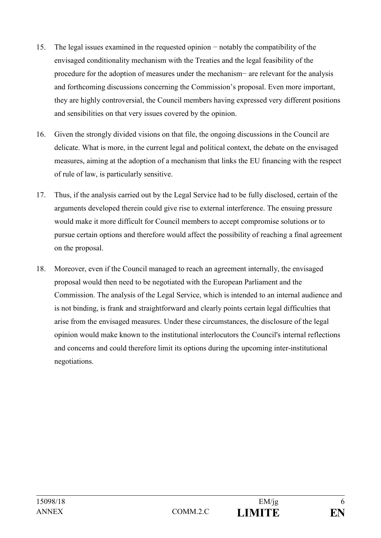- 15. The legal issues examined in the requested opinion − notably the compatibility of the envisaged conditionality mechanism with the Treaties and the legal feasibility of the procedure for the adoption of measures under the mechanism− are relevant for the analysis and forthcoming discussions concerning the Commission's proposal. Even more important, they are highly controversial, the Council members having expressed very different positions and sensibilities on that very issues covered by the opinion.
- 16. Given the strongly divided visions on that file, the ongoing discussions in the Council are delicate. What is more, in the current legal and political context, the debate on the envisaged measures, aiming at the adoption of a mechanism that links the EU financing with the respect of rule of law, is particularly sensitive.
- 17. Thus, if the analysis carried out by the Legal Service had to be fully disclosed, certain of the arguments developed therein could give rise to external interference. The ensuing pressure would make it more difficult for Council members to accept compromise solutions or to pursue certain options and therefore would affect the possibility of reaching a final agreement on the proposal.
- 18. Moreover, even if the Council managed to reach an agreement internally, the envisaged proposal would then need to be negotiated with the European Parliament and the Commission. The analysis of the Legal Service, which is intended to an internal audience and is not binding, is frank and straightforward and clearly points certain legal difficulties that arise from the envisaged measures. Under these circumstances, the disclosure of the legal opinion would make known to the institutional interlocutors the Council's internal reflections and concerns and could therefore limit its options during the upcoming inter-institutional negotiations.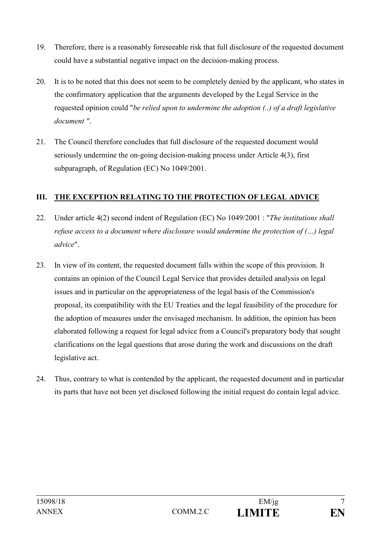- 19. Therefore, there is a reasonably foreseeable risk that full disclosure of the requested document could have a substantial negative impact on the decision-making process.
- 20. It is to be noted that this does not seem to be completely denied by the applicant, who states in the confirmatory application that the arguments developed by the Legal Service in the requested opinion could "*be relied upon to undermine the adoption (..) of a draft legislative document "*.
- 21. The Council therefore concludes that full disclosure of the requested document would seriously undermine the on-going decision-making process under Article 4(3), first subparagraph, of Regulation (EC) No 1049/2001.

#### **III. THE EXCEPTION RELATING TO THE PROTECTION OF LEGAL ADVICE**

- 22. Under article 4(2) second indent of Regulation (EC) No 1049/2001 : "*The institutions shall refuse access to a document where disclosure would undermine the protection of (…) legal advice*".
- 23. In view of its content, the requested document falls within the scope of this provision. It contains an opinion of the Council Legal Service that provides detailed analysis on legal issues and in particular on the appropriateness of the legal basis of the Commission's proposal, its compatibility with the EU Treaties and the legal feasibility of the procedure for the adoption of measures under the envisaged mechanism. In addition, the opinion has been elaborated following a request for legal advice from a Council's preparatory body that sought clarifications on the legal questions that arose during the work and discussions on the draft legislative act.
- 24. Thus, contrary to what is contended by the applicant, the requested document and in particular its parts that have not been yet disclosed following the initial request do contain legal advice.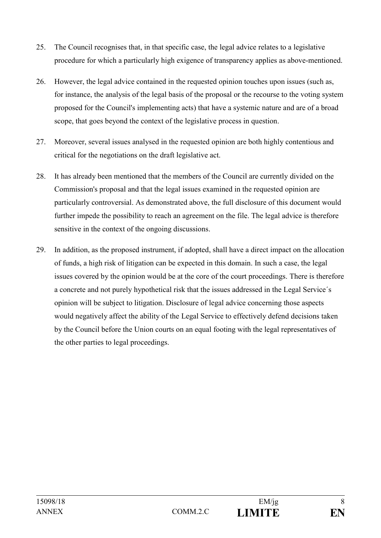- 25. The Council recognises that, in that specific case, the legal advice relates to a legislative procedure for which a particularly high exigence of transparency applies as above-mentioned.
- 26. However, the legal advice contained in the requested opinion touches upon issues (such as, for instance, the analysis of the legal basis of the proposal or the recourse to the voting system proposed for the Council's implementing acts) that have a systemic nature and are of a broad scope, that goes beyond the context of the legislative process in question.
- 27. Moreover, several issues analysed in the requested opinion are both highly contentious and critical for the negotiations on the draft legislative act.
- 28. It has already been mentioned that the members of the Council are currently divided on the Commission's proposal and that the legal issues examined in the requested opinion are particularly controversial. As demonstrated above, the full disclosure of this document would further impede the possibility to reach an agreement on the file. The legal advice is therefore sensitive in the context of the ongoing discussions.
- 29. In addition, as the proposed instrument, if adopted, shall have a direct impact on the allocation of funds, a high risk of litigation can be expected in this domain. In such a case, the legal issues covered by the opinion would be at the core of the court proceedings. There is therefore a concrete and not purely hypothetical risk that the issues addressed in the Legal Service´s opinion will be subject to litigation. Disclosure of legal advice concerning those aspects would negatively affect the ability of the Legal Service to effectively defend decisions taken by the Council before the Union courts on an equal footing with the legal representatives of the other parties to legal proceedings.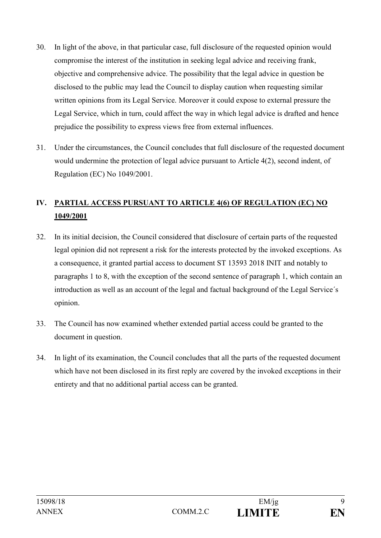- 30. In light of the above, in that particular case, full disclosure of the requested opinion would compromise the interest of the institution in seeking legal advice and receiving frank, objective and comprehensive advice. The possibility that the legal advice in question be disclosed to the public may lead the Council to display caution when requesting similar written opinions from its Legal Service. Moreover it could expose to external pressure the Legal Service, which in turn, could affect the way in which legal advice is drafted and hence prejudice the possibility to express views free from external influences.
- 31. Under the circumstances, the Council concludes that full disclosure of the requested document would undermine the protection of legal advice pursuant to Article 4(2), second indent, of Regulation (EC) No 1049/2001.

### **IV. PARTIAL ACCESS PURSUANT TO ARTICLE 4(6) OF REGULATION (EC) NO 1049/2001**

- 32. In its initial decision, the Council considered that disclosure of certain parts of the requested legal opinion did not represent a risk for the interests protected by the invoked exceptions. As a consequence, it granted partial access to document ST 13593 2018 INIT and notably to paragraphs 1 to 8, with the exception of the second sentence of paragraph 1, which contain an introduction as well as an account of the legal and factual background of the Legal Service´s opinion.
- 33. The Council has now examined whether extended partial access could be granted to the document in question.
- 34. In light of its examination, the Council concludes that all the parts of the requested document which have not been disclosed in its first reply are covered by the invoked exceptions in their entirety and that no additional partial access can be granted.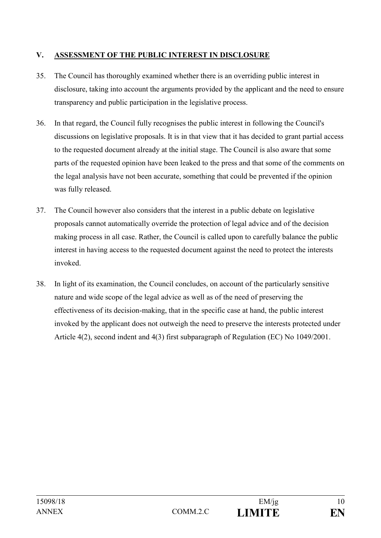#### **V. ASSESSMENT OF THE PUBLIC INTEREST IN DISCLOSURE**

- 35. The Council has thoroughly examined whether there is an overriding public interest in disclosure, taking into account the arguments provided by the applicant and the need to ensure transparency and public participation in the legislative process.
- 36. In that regard, the Council fully recognises the public interest in following the Council's discussions on legislative proposals. It is in that view that it has decided to grant partial access to the requested document already at the initial stage. The Council is also aware that some parts of the requested opinion have been leaked to the press and that some of the comments on the legal analysis have not been accurate, something that could be prevented if the opinion was fully released.
- 37. The Council however also considers that the interest in a public debate on legislative proposals cannot automatically override the protection of legal advice and of the decision making process in all case. Rather, the Council is called upon to carefully balance the public interest in having access to the requested document against the need to protect the interests invoked.
- 38. In light of its examination, the Council concludes, on account of the particularly sensitive nature and wide scope of the legal advice as well as of the need of preserving the effectiveness of its decision-making, that in the specific case at hand, the public interest invoked by the applicant does not outweigh the need to preserve the interests protected under Article 4(2), second indent and 4(3) first subparagraph of Regulation (EC) No 1049/2001.